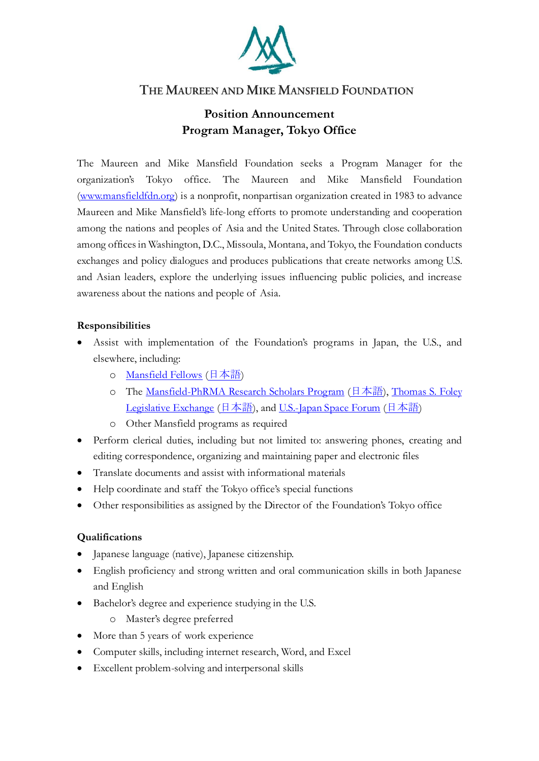

## THE MAUREEN AND MIKE MANSFIELD FOUNDATION

## **Position Announcement Program Manager, Tokyo Office**

The Maureen and Mike Mansfield Foundation seeks a Program Manager for the organization's Tokyo office. The Maureen and Mike Mansfield Foundation [\(www.mansfieldfdn.org\)](http://www.mansfieldfdn.org/) is a nonprofit, nonpartisan organization created in 1983 to advance Maureen and Mike Mansfield's life-long efforts to promote understanding and cooperation among the nations and peoples of Asia and the United States. Through close collaboration among offices in Washington, D.C., Missoula, Montana, and Tokyo, the Foundation conducts exchanges and policy dialogues and produces publications that create networks among U.S. and Asian leaders, explore the underlying issues influencing public policies, and increase awareness about the nations and people of Asia.

## **Responsibilities**

- Assist with implementation of the Foundation's programs in Japan, the U.S., and elsewhere, including:
	- o [Mansfield Fellows](https://mansfieldfellows.org/) ([日本語](https://mansfieldfdn.org/jp/programs/mansfield-fellowship-program/))
	- o The [Mansfield-PhRMA Research Scholars Program](https://mansfieldfdn.org/program/strengthening-government-and-expert-networks/phrma/) ([日本語](https://mansfieldfdn.org/jp/programs/mansfield-phrma-program/)), Thomas S. Foley [Legislative Exchange](https://mansfieldfdn.org/program/strengthening-government-and-expert-networks/thomas-s-foley-legislative-exchange/) ([日本語](https://mansfieldfdn.org/jp/programs/us-japan-space-forum/)), an[d U.S.-Japan Space Forum](https://mansfieldfdn.org/program/advancing-policy-through-working-groups/u-s-japan-space-forum/) (日本語)
	- o Other Mansfield programs as required
- Perform clerical duties, including but not limited to: answering phones, creating and editing correspondence, organizing and maintaining paper and electronic files
- Translate documents and assist with informational materials
- Help coordinate and staff the Tokyo office's special functions
- Other responsibilities as assigned by the Director of the Foundation's Tokyo office

## **Qualifications**

- Japanese language (native), Japanese citizenship.
- English proficiency and strong written and oral communication skills in both Japanese and English
- Bachelor's degree and experience studying in the U.S.
	- o Master's degree preferred
- More than 5 years of work experience
- Computer skills, including internet research, Word, and Excel
- Excellent problem-solving and interpersonal skills